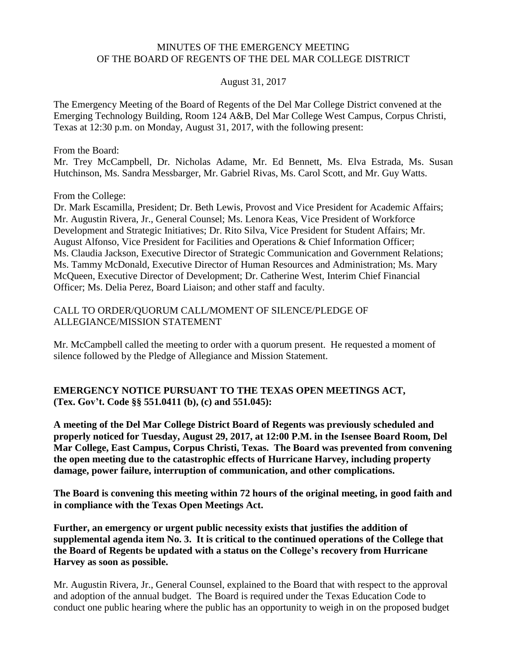#### MINUTES OF THE EMERGENCY MEETING OF THE BOARD OF REGENTS OF THE DEL MAR COLLEGE DISTRICT

#### August 31, 2017

The Emergency Meeting of the Board of Regents of the Del Mar College District convened at the Emerging Technology Building, Room 124 A&B, Del Mar College West Campus, Corpus Christi, Texas at 12:30 p.m. on Monday, August 31, 2017, with the following present:

From the Board:

Mr. Trey McCampbell, Dr. Nicholas Adame, Mr. Ed Bennett, Ms. Elva Estrada, Ms. Susan Hutchinson, Ms. Sandra Messbarger, Mr. Gabriel Rivas, Ms. Carol Scott, and Mr. Guy Watts.

From the College:

Dr. Mark Escamilla, President; Dr. Beth Lewis, Provost and Vice President for Academic Affairs; Mr. Augustin Rivera, Jr., General Counsel; Ms. Lenora Keas, Vice President of Workforce Development and Strategic Initiatives; Dr. Rito Silva, Vice President for Student Affairs; Mr. August Alfonso, Vice President for Facilities and Operations & Chief Information Officer; Ms. Claudia Jackson, Executive Director of Strategic Communication and Government Relations; Ms. Tammy McDonald, Executive Director of Human Resources and Administration; Ms. Mary McQueen, Executive Director of Development; Dr. Catherine West, Interim Chief Financial Officer; Ms. Delia Perez, Board Liaison; and other staff and faculty.

### CALL TO ORDER/QUORUM CALL/MOMENT OF SILENCE/PLEDGE OF ALLEGIANCE/MISSION STATEMENT

Mr. McCampbell called the meeting to order with a quorum present. He requested a moment of silence followed by the Pledge of Allegiance and Mission Statement.

## **EMERGENCY NOTICE PURSUANT TO THE TEXAS OPEN MEETINGS ACT, (Tex. Gov't. Code §§ 551.0411 (b), (c) and 551.045):**

**A meeting of the Del Mar College District Board of Regents was previously scheduled and properly noticed for Tuesday, August 29, 2017, at 12:00 P.M. in the Isensee Board Room, Del Mar College, East Campus, Corpus Christi, Texas. The Board was prevented from convening the open meeting due to the catastrophic effects of Hurricane Harvey, including property damage, power failure, interruption of communication, and other complications.**

**The Board is convening this meeting within 72 hours of the original meeting, in good faith and in compliance with the Texas Open Meetings Act.**

**Further, an emergency or urgent public necessity exists that justifies the addition of supplemental agenda item No. 3. It is critical to the continued operations of the College that the Board of Regents be updated with a status on the College's recovery from Hurricane Harvey as soon as possible.**

Mr. Augustin Rivera, Jr., General Counsel, explained to the Board that with respect to the approval and adoption of the annual budget. The Board is required under the Texas Education Code to conduct one public hearing where the public has an opportunity to weigh in on the proposed budget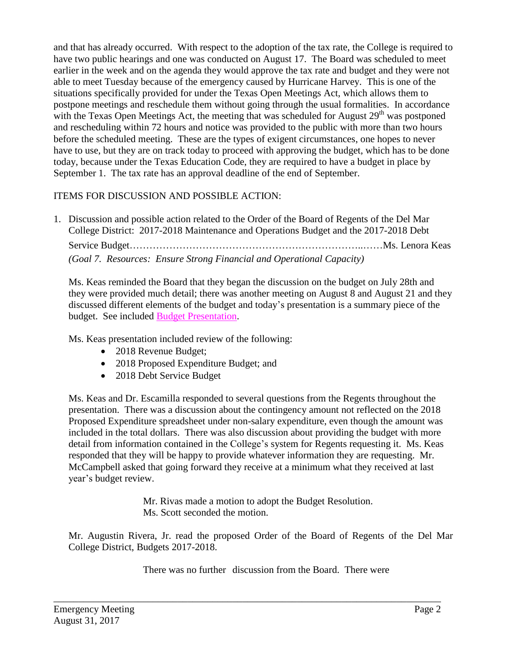and that has already occurred. With respect to the adoption of the tax rate, the College is required to have two public hearings and one was conducted on August 17. The Board was scheduled to meet earlier in the week and on the agenda they would approve the tax rate and budget and they were not able to meet Tuesday because of the emergency caused by Hurricane Harvey. This is one of the situations specifically provided for under the Texas Open Meetings Act, which allows them to postpone meetings and reschedule them without going through the usual formalities. In accordance with the Texas Open Meetings Act, the meeting that was scheduled for August  $29<sup>th</sup>$  was postponed and rescheduling within 72 hours and notice was provided to the public with more than two hours before the scheduled meeting. These are the types of exigent circumstances, one hopes to never have to use, but they are on track today to proceed with approving the budget, which has to be done today, because under the Texas Education Code, they are required to have a budget in place by September 1. The tax rate has an approval deadline of the end of September.

# ITEMS FOR DISCUSSION AND POSSIBLE ACTION:

1. Discussion and possible action related to the Order of the Board of Regents of the Del Mar College District: 2017-2018 Maintenance and Operations Budget and the 2017-2018 Debt Service Budget……………………………………………………………..……Ms. Lenora Keas *(Goal 7. Resources: Ensure Strong Financial and Operational Capacity)*

Ms. Keas reminded the Board that they began the discussion on the budget on July 28th and they were provided much detail; there was another meeting on August 8 and August 21 and they discussed different elements of the budget and today's presentation is a summary piece of the budget. See included Budget [Presentation.](http://www.delmar.edu/WorkArea/DownloadAsset.aspx?id=2147486055)

Ms. Keas presentation included review of the following:

- 2018 Revenue Budget;
- 2018 Proposed Expenditure Budget; and
- 2018 Debt Service Budget

Ms. Keas and Dr. Escamilla responded to several questions from the Regents throughout the presentation. There was a discussion about the contingency amount not reflected on the 2018 Proposed Expenditure spreadsheet under non-salary expenditure, even though the amount was included in the total dollars. There was also discussion about providing the budget with more detail from information contained in the College's system for Regents requesting it. Ms. Keas responded that they will be happy to provide whatever information they are requesting. Mr. McCampbell asked that going forward they receive at a minimum what they received at last year's budget review.

> Mr. Rivas made a motion to adopt the Budget Resolution. Ms. Scott seconded the motion.

Mr. Augustin Rivera, Jr. read the proposed Order of the Board of Regents of the Del Mar College District, Budgets 2017-2018.

There was no further discussion from the Board. There were

\_\_\_\_\_\_\_\_\_\_\_\_\_\_\_\_\_\_\_\_\_\_\_\_\_\_\_\_\_\_\_\_\_\_\_\_\_\_\_\_\_\_\_\_\_\_\_\_\_\_\_\_\_\_\_\_\_\_\_\_\_\_\_\_\_\_\_\_\_\_\_\_\_\_\_\_\_\_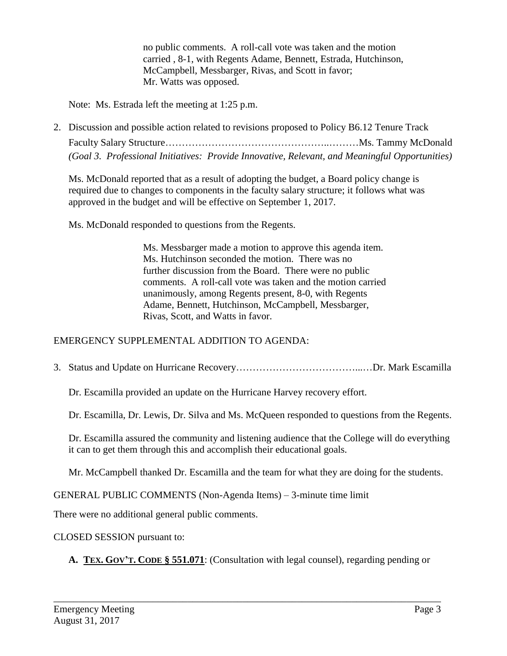no public comments. A roll-call vote was taken and the motion carried , 8-1, with Regents Adame, Bennett, Estrada, Hutchinson, McCampbell, Messbarger, Rivas, and Scott in favor; Mr. Watts was opposed.

Note: Ms. Estrada left the meeting at 1:25 p.m.

2. Discussion and possible action related to revisions proposed to Policy B6.12 Tenure Track Faculty Salary Structure…………………………………………..………Ms. Tammy McDonald *(Goal 3. Professional Initiatives: Provide Innovative, Relevant, and Meaningful Opportunities)*

Ms. McDonald reported that as a result of adopting the budget, a Board policy change is required due to changes to components in the faculty salary structure; it follows what was approved in the budget and will be effective on September 1, 2017.

Ms. McDonald responded to questions from the Regents.

Ms. Messbarger made a motion to approve this agenda item. Ms. Hutchinson seconded the motion. There was no further discussion from the Board. There were no public comments. A roll-call vote was taken and the motion carried unanimously, among Regents present, 8-0, with Regents Adame, Bennett, Hutchinson, McCampbell, Messbarger, Rivas, Scott, and Watts in favor.

## EMERGENCY SUPPLEMENTAL ADDITION TO AGENDA:

3. Status and Update on Hurricane Recovery………………………………...…Dr. Mark Escamilla

Dr. Escamilla provided an update on the Hurricane Harvey recovery effort.

Dr. Escamilla, Dr. Lewis, Dr. Silva and Ms. McQueen responded to questions from the Regents.

Dr. Escamilla assured the community and listening audience that the College will do everything it can to get them through this and accomplish their educational goals.

Mr. McCampbell thanked Dr. Escamilla and the team for what they are doing for the students.

GENERAL PUBLIC COMMENTS (Non-Agenda Items) – 3-minute time limit

There were no additional general public comments.

CLOSED SESSION pursuant to:

**A. TEX. GOV'T. CODE § 551.071**: (Consultation with legal counsel), regarding pending or

\_\_\_\_\_\_\_\_\_\_\_\_\_\_\_\_\_\_\_\_\_\_\_\_\_\_\_\_\_\_\_\_\_\_\_\_\_\_\_\_\_\_\_\_\_\_\_\_\_\_\_\_\_\_\_\_\_\_\_\_\_\_\_\_\_\_\_\_\_\_\_\_\_\_\_\_\_\_